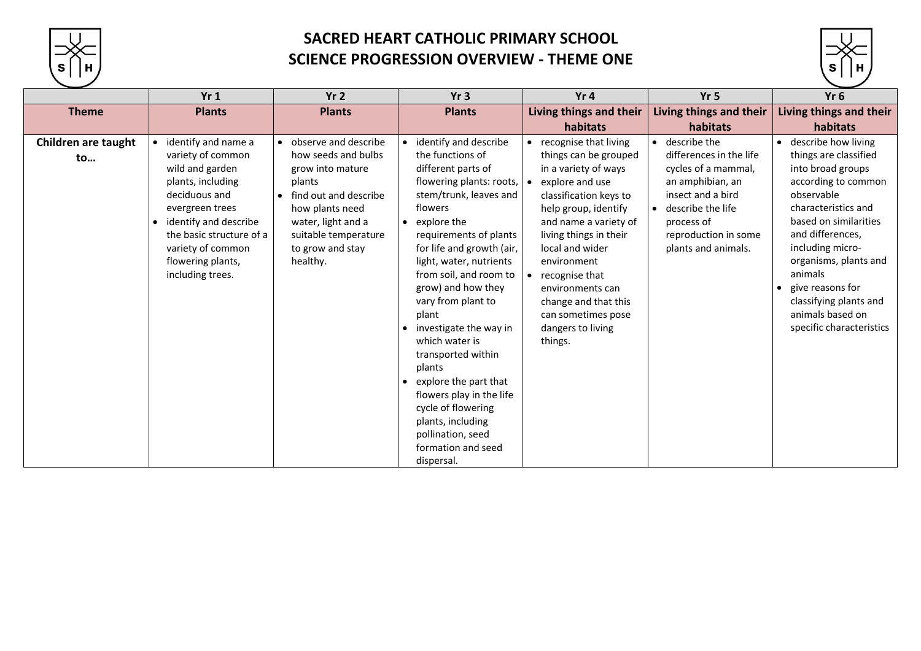

## **SACRED HEART CATHOLIC PRIMARY SCHOOL SCIENCE PROGRESSION OVERVIEW - THEME ONE**

|                                  | Yr1                                                                                                                                                                                                                                                               | Yr <sub>2</sub>                                                                                                                                                                                       | Yr3                                                                                                                                                                                                                                                                                                                                                                                                                                                                                                                                                                             | Yr4                                                                                                                                                                                                                                                                                                                                                  | Yr <sub>5</sub>                                                                                                                                                                                        | Yr <sub>6</sub>                                                                                                                                                                                                                                                                                                                    |
|----------------------------------|-------------------------------------------------------------------------------------------------------------------------------------------------------------------------------------------------------------------------------------------------------------------|-------------------------------------------------------------------------------------------------------------------------------------------------------------------------------------------------------|---------------------------------------------------------------------------------------------------------------------------------------------------------------------------------------------------------------------------------------------------------------------------------------------------------------------------------------------------------------------------------------------------------------------------------------------------------------------------------------------------------------------------------------------------------------------------------|------------------------------------------------------------------------------------------------------------------------------------------------------------------------------------------------------------------------------------------------------------------------------------------------------------------------------------------------------|--------------------------------------------------------------------------------------------------------------------------------------------------------------------------------------------------------|------------------------------------------------------------------------------------------------------------------------------------------------------------------------------------------------------------------------------------------------------------------------------------------------------------------------------------|
| <b>Theme</b>                     | <b>Plants</b>                                                                                                                                                                                                                                                     | <b>Plants</b>                                                                                                                                                                                         | <b>Plants</b>                                                                                                                                                                                                                                                                                                                                                                                                                                                                                                                                                                   | Living things and their<br>habitats                                                                                                                                                                                                                                                                                                                  | Living things and their<br>habitats                                                                                                                                                                    | Living things and their<br>habitats                                                                                                                                                                                                                                                                                                |
| <b>Children are taught</b><br>to | identify and name a<br>$\bullet$<br>variety of common<br>wild and garden<br>plants, including<br>deciduous and<br>evergreen trees<br>identify and describe<br>$\bullet$<br>the basic structure of a<br>variety of common<br>flowering plants,<br>including trees. | • observe and describe<br>how seeds and bulbs<br>grow into mature<br>plants<br>find out and describe<br>how plants need<br>water, light and a<br>suitable temperature<br>to grow and stay<br>healthy. | identify and describe<br>the functions of<br>different parts of<br>flowering plants: roots,<br>stem/trunk, leaves and<br>flowers<br>explore the<br>$\bullet$<br>requirements of plants<br>for life and growth (air,<br>light, water, nutrients<br>from soil, and room to<br>grow) and how they<br>vary from plant to<br>plant<br>investigate the way in<br>$\bullet$<br>which water is<br>transported within<br>plants<br>explore the part that<br>flowers play in the life<br>cycle of flowering<br>plants, including<br>pollination, seed<br>formation and seed<br>dispersal. | recognise that living<br>things can be grouped<br>in a variety of ways<br>explore and use<br>classification keys to<br>help group, identify<br>and name a variety of<br>living things in their<br>local and wider<br>environment<br>recognise that<br>environments can<br>change and that this<br>can sometimes pose<br>dangers to living<br>things. | describe the<br>$\bullet$<br>differences in the life<br>cycles of a mammal,<br>an amphibian, an<br>insect and a bird<br>describe the life<br>process of<br>reproduction in some<br>plants and animals. | • describe how living<br>things are classified<br>into broad groups<br>according to common<br>observable<br>characteristics and<br>based on similarities<br>and differences,<br>including micro-<br>organisms, plants and<br>animals<br>give reasons for<br>classifying plants and<br>animals based on<br>specific characteristics |

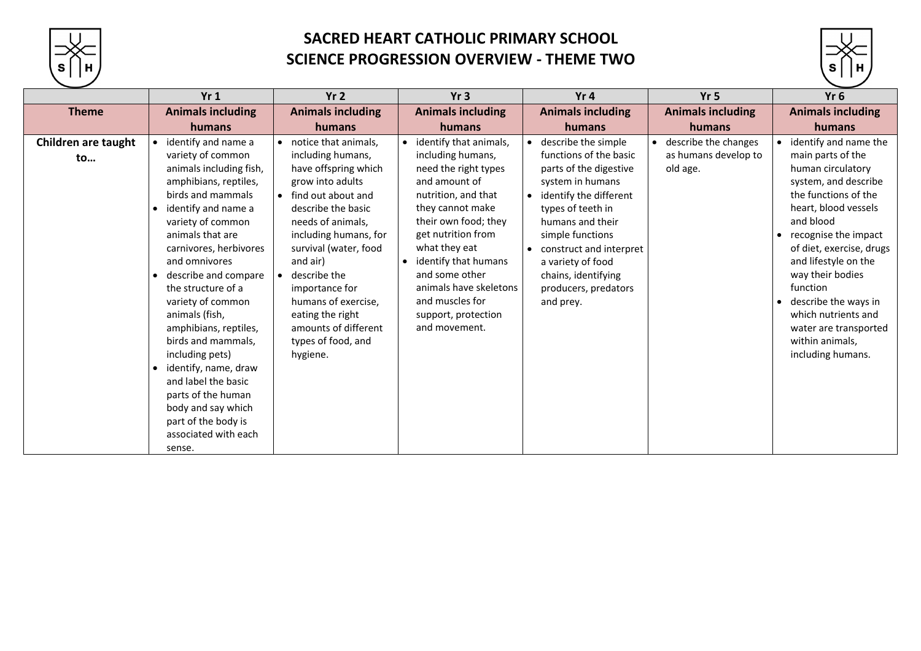

# **SACRED HEART CATHOLIC PRIMARY SCHOOL SCIENCE PROGRESSION OVERVIEW - THEME TWO**

|                           | Yr1                                                                                                                                                                                                                                                                                                                                                                                                                                                                                                                                                  | Yr <sub>2</sub>                                                                                                                                                                                                                                                                                                                                             | Yr3                                                                                                                                                                                                                                                                                                                           | Yr <sub>4</sub>                                                                                                                                                                                                                                                                                | Yr <sub>5</sub>                                            | Yr <sub>6</sub>                                                                                                                                                                                                                                                                                                                                                                                            |
|---------------------------|------------------------------------------------------------------------------------------------------------------------------------------------------------------------------------------------------------------------------------------------------------------------------------------------------------------------------------------------------------------------------------------------------------------------------------------------------------------------------------------------------------------------------------------------------|-------------------------------------------------------------------------------------------------------------------------------------------------------------------------------------------------------------------------------------------------------------------------------------------------------------------------------------------------------------|-------------------------------------------------------------------------------------------------------------------------------------------------------------------------------------------------------------------------------------------------------------------------------------------------------------------------------|------------------------------------------------------------------------------------------------------------------------------------------------------------------------------------------------------------------------------------------------------------------------------------------------|------------------------------------------------------------|------------------------------------------------------------------------------------------------------------------------------------------------------------------------------------------------------------------------------------------------------------------------------------------------------------------------------------------------------------------------------------------------------------|
| <b>Theme</b>              | <b>Animals including</b>                                                                                                                                                                                                                                                                                                                                                                                                                                                                                                                             | <b>Animals including</b>                                                                                                                                                                                                                                                                                                                                    | <b>Animals including</b>                                                                                                                                                                                                                                                                                                      | <b>Animals including</b>                                                                                                                                                                                                                                                                       | <b>Animals including</b>                                   | <b>Animals including</b>                                                                                                                                                                                                                                                                                                                                                                                   |
|                           | humans                                                                                                                                                                                                                                                                                                                                                                                                                                                                                                                                               | humans                                                                                                                                                                                                                                                                                                                                                      | humans                                                                                                                                                                                                                                                                                                                        | humans                                                                                                                                                                                                                                                                                         | humans                                                     | humans                                                                                                                                                                                                                                                                                                                                                                                                     |
| Children are taught<br>to | identify and name a<br>variety of common<br>animals including fish,<br>amphibians, reptiles,<br>birds and mammals<br>identify and name a<br>$\bullet$<br>variety of common<br>animals that are<br>carnivores, herbivores<br>and omnivores<br>describe and compare<br>the structure of a<br>variety of common<br>animals (fish,<br>amphibians, reptiles,<br>birds and mammals,<br>including pets)<br>identify, name, draw<br>and label the basic<br>parts of the human<br>body and say which<br>part of the body is<br>associated with each<br>sense. | notice that animals,<br>including humans,<br>have offspring which<br>grow into adults<br>find out about and<br>describe the basic<br>needs of animals,<br>including humans, for<br>survival (water, food<br>and air)<br>describe the<br>importance for<br>humans of exercise,<br>eating the right<br>amounts of different<br>types of food, and<br>hygiene. | identify that animals,<br>including humans,<br>need the right types<br>and amount of<br>nutrition, and that<br>they cannot make<br>their own food; they<br>get nutrition from<br>what they eat<br>identify that humans<br>and some other<br>animals have skeletons<br>and muscles for<br>support, protection<br>and movement. | describe the simple<br>functions of the basic<br>parts of the digestive<br>system in humans<br>identify the different<br>types of teeth in<br>humans and their<br>simple functions<br>construct and interpret<br>a variety of food<br>chains, identifying<br>producers, predators<br>and prey. | • describe the changes<br>as humans develop to<br>old age. | identify and name the<br>main parts of the<br>human circulatory<br>system, and describe<br>the functions of the<br>heart, blood vessels<br>and blood<br>recognise the impact<br>$\bullet$<br>of diet, exercise, drugs<br>and lifestyle on the<br>way their bodies<br>function<br>describe the ways in<br>$\bullet$<br>which nutrients and<br>water are transported<br>within animals,<br>including humans. |

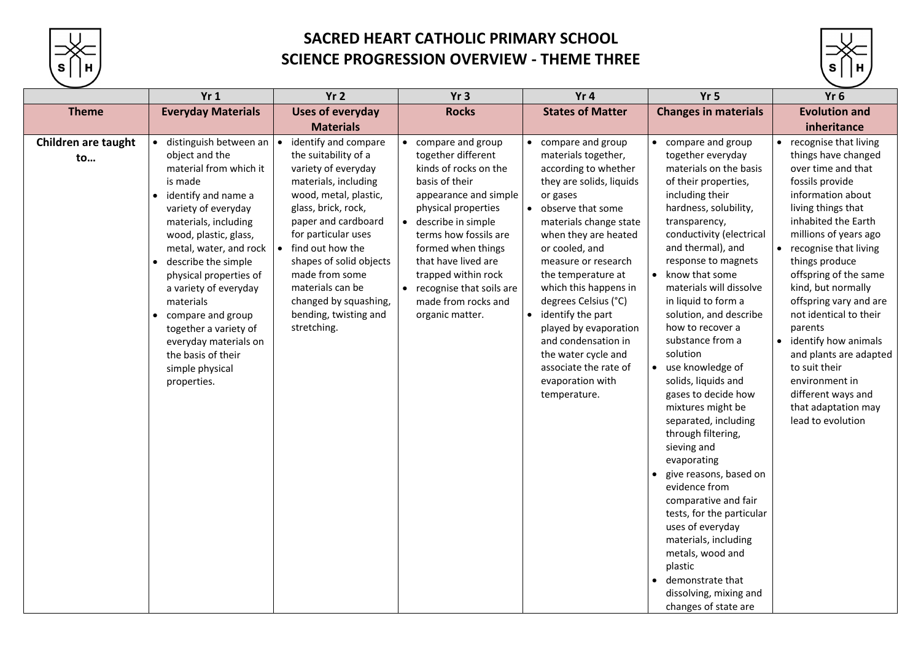

## **SACRED HEART CATHOLIC PRIMARY SCHOOL SCIENCE PROGRESSION OVERVIEW - THEME THREE**

### **Robin materials Evolution and inheritance**

|                           | Yr1                                                                                                                                                                                                                                                                                                                                                                                                                          | Yr <sub>2</sub>                                                                                                                                                                                                                                                                                                                                              | Yr3                                                                                                                                                                                                                                                                                                                           | Yr4                                                                                                                                                                                                                                                                                                                                                                                                                                                                                             | Yr <sub>5</sub>                                                                                                                                                                                                                                                                                                                                                                                                                                                                                                                                                                                                                                                                                                                                                                                                  | Yr <sub>6</sub>                                                                                                                                                                                                                                                                                                                                           |
|---------------------------|------------------------------------------------------------------------------------------------------------------------------------------------------------------------------------------------------------------------------------------------------------------------------------------------------------------------------------------------------------------------------------------------------------------------------|--------------------------------------------------------------------------------------------------------------------------------------------------------------------------------------------------------------------------------------------------------------------------------------------------------------------------------------------------------------|-------------------------------------------------------------------------------------------------------------------------------------------------------------------------------------------------------------------------------------------------------------------------------------------------------------------------------|-------------------------------------------------------------------------------------------------------------------------------------------------------------------------------------------------------------------------------------------------------------------------------------------------------------------------------------------------------------------------------------------------------------------------------------------------------------------------------------------------|------------------------------------------------------------------------------------------------------------------------------------------------------------------------------------------------------------------------------------------------------------------------------------------------------------------------------------------------------------------------------------------------------------------------------------------------------------------------------------------------------------------------------------------------------------------------------------------------------------------------------------------------------------------------------------------------------------------------------------------------------------------------------------------------------------------|-----------------------------------------------------------------------------------------------------------------------------------------------------------------------------------------------------------------------------------------------------------------------------------------------------------------------------------------------------------|
| <b>Theme</b>              | <b>Everyday Materials</b>                                                                                                                                                                                                                                                                                                                                                                                                    | <b>Uses of everyday</b><br><b>Materials</b>                                                                                                                                                                                                                                                                                                                  | <b>Rocks</b>                                                                                                                                                                                                                                                                                                                  | <b>States of Matter</b>                                                                                                                                                                                                                                                                                                                                                                                                                                                                         | <b>Changes in materials</b>                                                                                                                                                                                                                                                                                                                                                                                                                                                                                                                                                                                                                                                                                                                                                                                      | <b>Evolution</b><br>inherita                                                                                                                                                                                                                                                                                                                              |
| Children are taught<br>to | distinguish between an<br>object and the<br>material from which it<br>is made<br>identify and name a<br>variety of everyday<br>materials, including<br>wood, plastic, glass,<br>metal, water, and rock<br>describe the simple<br>physical properties of<br>a variety of everyday<br>materials<br>compare and group<br>together a variety of<br>everyday materials on<br>the basis of their<br>simple physical<br>properties. | identify and compare<br>$\bullet$<br>the suitability of a<br>variety of everyday<br>materials, including<br>wood, metal, plastic,<br>glass, brick, rock,<br>paper and cardboard<br>for particular uses<br>find out how the<br>shapes of solid objects<br>made from some<br>materials can be<br>changed by squashing,<br>bending, twisting and<br>stretching. | compare and group<br>together different<br>kinds of rocks on the<br>basis of their<br>appearance and simple<br>physical properties<br>describe in simple<br>terms how fossils are<br>formed when things<br>that have lived are<br>trapped within rock<br>• recognise that soils are<br>made from rocks and<br>organic matter. | compare and group<br>$\bullet$<br>materials together,<br>according to whether<br>they are solids, liquids<br>or gases<br>observe that some<br>$\bullet$<br>materials change state<br>when they are heated<br>or cooled, and<br>measure or research<br>the temperature at<br>which this happens in<br>degrees Celsius (°C)<br>identify the part<br>$\bullet$<br>played by evaporation<br>and condensation in<br>the water cycle and<br>associate the rate of<br>evaporation with<br>temperature. | compare and group<br>together everyday<br>materials on the basis<br>of their properties,<br>including their<br>hardness, solubility,<br>transparency,<br>conductivity (electrical<br>and thermal), and<br>response to magnets<br>know that some<br>materials will dissolve<br>in liquid to form a<br>solution, and describe<br>how to recover a<br>substance from a<br>solution<br>use knowledge of<br>solids, liquids and<br>gases to decide how<br>mixtures might be<br>separated, including<br>through filtering,<br>sieving and<br>evaporating<br>give reasons, based on<br>$\bullet$<br>evidence from<br>comparative and fair<br>tests, for the particular<br>uses of everyday<br>materials, including<br>metals, wood and<br>plastic<br>demonstrate that<br>dissolving, mixing and<br>changes of state are | recognise th<br>things have<br>over time ar<br>fossils provid<br>information<br>living things<br>inhabited th<br>millions of y<br>recognise th<br>things produ<br>offspring of<br>kind, but no<br>offspring var<br>not identica<br>parents<br>identify how<br>and plants a<br>to suit their<br>environmen<br>different wa<br>that adaptat<br>lead to evol |



- and
- ating
- asons, based on
- e from
- ative and fair or the particular
- everyday
- als, including
- wood and

- recognise that living things have changed over time and that fossils provide information about living things that inhabited the Earth millions of years ago
- recognise that living things produce offspring of the same kind, but normally offspring vary and are not identical to their parents
- identify how animals and plants are adapted to suit their environment in different ways and that adaptation may lead to evolution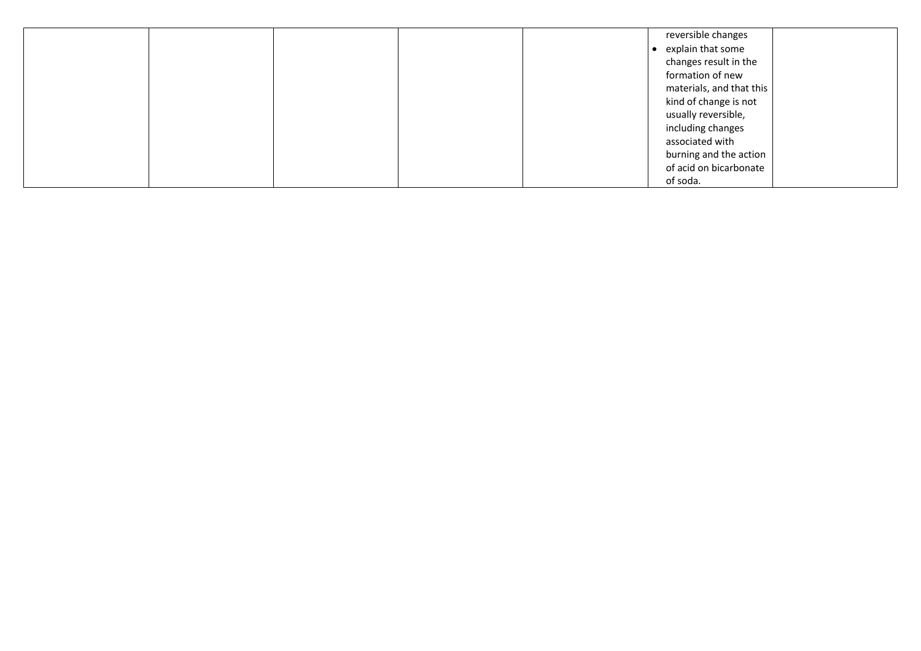|  |  | reversible changes       |
|--|--|--------------------------|
|  |  | • explain that some      |
|  |  | changes result in the    |
|  |  | formation of new         |
|  |  | materials, and that this |
|  |  | kind of change is not    |
|  |  | usually reversible,      |
|  |  | including changes        |
|  |  | associated with          |
|  |  | burning and the action   |
|  |  | of acid on bicarbonate   |
|  |  | of soda.                 |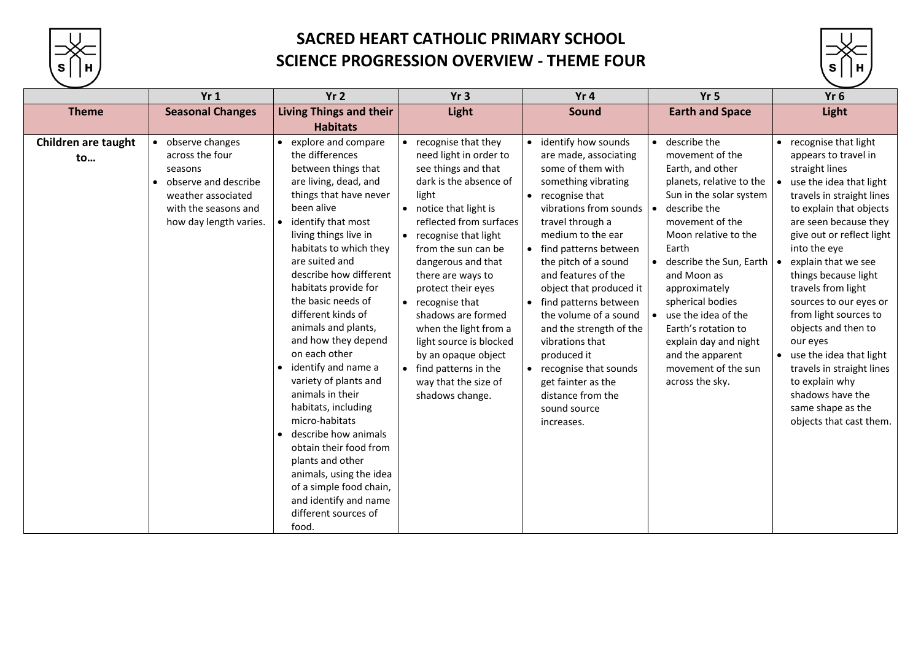

# **SACRED HEART CATHOLIC PRIMARY SCHOOL SCIENCE PROGRESSION OVERVIEW - THEME FOUR**

|                                  | Yr1                                                                                                                                           | Yr <sub>2</sub>                                                                                                                                                                                                                                                                                                                                                                                                                                                                                                                                                                                                                                                                               | Yr3                                                                                                                                                                                                                                                                                                                                                                                                                                                                               | Yr4                                                                                                                                                                                                                                                                                                                                                                                                                                                                                               | Yr <sub>5</sub>                                                                                                                                                                                                                                                                                                                                                                                    | Yr <sub>6</sub>                                                                                                                                                                                                                                                                                                                                                                                                                                                                                                                  |
|----------------------------------|-----------------------------------------------------------------------------------------------------------------------------------------------|-----------------------------------------------------------------------------------------------------------------------------------------------------------------------------------------------------------------------------------------------------------------------------------------------------------------------------------------------------------------------------------------------------------------------------------------------------------------------------------------------------------------------------------------------------------------------------------------------------------------------------------------------------------------------------------------------|-----------------------------------------------------------------------------------------------------------------------------------------------------------------------------------------------------------------------------------------------------------------------------------------------------------------------------------------------------------------------------------------------------------------------------------------------------------------------------------|---------------------------------------------------------------------------------------------------------------------------------------------------------------------------------------------------------------------------------------------------------------------------------------------------------------------------------------------------------------------------------------------------------------------------------------------------------------------------------------------------|----------------------------------------------------------------------------------------------------------------------------------------------------------------------------------------------------------------------------------------------------------------------------------------------------------------------------------------------------------------------------------------------------|----------------------------------------------------------------------------------------------------------------------------------------------------------------------------------------------------------------------------------------------------------------------------------------------------------------------------------------------------------------------------------------------------------------------------------------------------------------------------------------------------------------------------------|
| <b>Theme</b>                     | <b>Seasonal Changes</b>                                                                                                                       | <b>Living Things and their</b><br><b>Habitats</b>                                                                                                                                                                                                                                                                                                                                                                                                                                                                                                                                                                                                                                             | Light                                                                                                                                                                                                                                                                                                                                                                                                                                                                             | Sound                                                                                                                                                                                                                                                                                                                                                                                                                                                                                             | <b>Earth and Space</b>                                                                                                                                                                                                                                                                                                                                                                             | Light                                                                                                                                                                                                                                                                                                                                                                                                                                                                                                                            |
| <b>Children are taught</b><br>to | observe changes<br>across the four<br>seasons<br>observe and describe<br>weather associated<br>with the seasons and<br>how day length varies. | • explore and compare<br>the differences<br>between things that<br>are living, dead, and<br>things that have never<br>been alive<br>identify that most<br>living things live in<br>habitats to which they<br>are suited and<br>describe how different<br>habitats provide for<br>the basic needs of<br>different kinds of<br>animals and plants,<br>and how they depend<br>on each other<br>• identify and name a<br>variety of plants and<br>animals in their<br>habitats, including<br>micro-habitats<br>describe how animals<br>obtain their food from<br>plants and other<br>animals, using the idea<br>of a simple food chain,<br>and identify and name<br>different sources of<br>food. | recognise that they<br>need light in order to<br>see things and that<br>dark is the absence of<br>light<br>• notice that light is<br>reflected from surfaces<br>recognise that light<br>$\bullet$<br>from the sun can be<br>dangerous and that<br>there are ways to<br>protect their eyes<br>• recognise that<br>shadows are formed<br>when the light from a<br>light source is blocked<br>by an opaque object<br>find patterns in the<br>way that the size of<br>shadows change. | identify how sounds<br>are made, associating<br>some of them with<br>something vibrating<br>recognise that<br>vibrations from sounds<br>travel through a<br>medium to the ear<br>find patterns between<br>the pitch of a sound<br>and features of the<br>object that produced it<br>find patterns between<br>the volume of a sound<br>and the strength of the<br>vibrations that<br>produced it<br>recognise that sounds<br>get fainter as the<br>distance from the<br>sound source<br>increases. | describe the<br>movement of the<br>Earth, and other<br>planets, relative to the<br>Sun in the solar system<br>describe the<br>movement of the<br>Moon relative to the<br>Earth<br>describe the Sun, Earth<br>and Moon as<br>approximately<br>spherical bodies<br>use the idea of the<br>Earth's rotation to<br>explain day and night<br>and the apparent<br>movement of the sun<br>across the sky. | recognise that light<br>appears to travel in<br>straight lines<br>use the idea that light<br>travels in straight lines<br>to explain that objects<br>are seen because they<br>give out or reflect light<br>into the eye<br>explain that we see<br>things because light<br>travels from light<br>sources to our eyes or<br>from light sources to<br>objects and then to<br>our eyes<br>use the idea that light<br>travels in straight lines<br>to explain why<br>shadows have the<br>same shape as the<br>objects that cast them. |